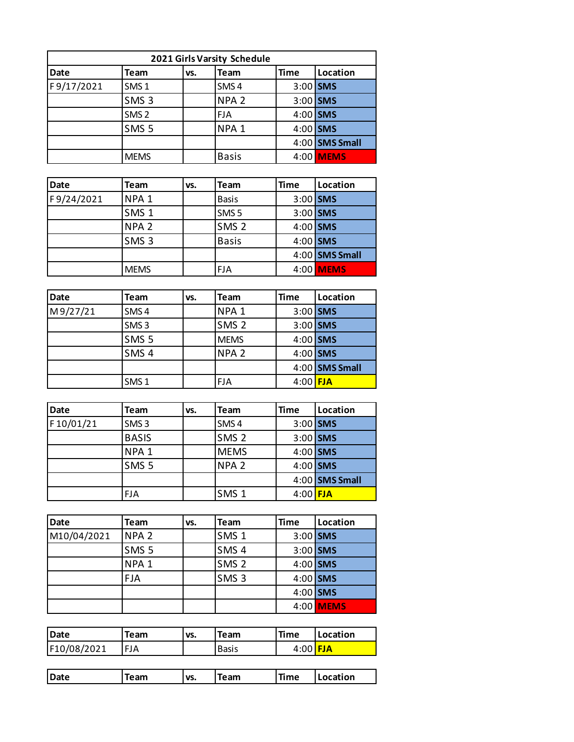| 2021 Girls Varsity Schedule                                          |                  |  |                  |            |                  |  |  |  |  |
|----------------------------------------------------------------------|------------------|--|------------------|------------|------------------|--|--|--|--|
| <b>Time</b><br><b>Date</b><br>Location<br><b>Team</b><br>Team<br>VS. |                  |  |                  |            |                  |  |  |  |  |
| F9/17/2021                                                           | SMS <sub>1</sub> |  | SMS <sub>4</sub> | $3:00$ SMS |                  |  |  |  |  |
|                                                                      | SMS <sub>3</sub> |  | NPA <sub>2</sub> | $3:00$ SMS |                  |  |  |  |  |
|                                                                      | SMS <sub>2</sub> |  | <b>FJA</b>       | $4:00$ SMS |                  |  |  |  |  |
|                                                                      | SMS <sub>5</sub> |  | NPA <sub>1</sub> | $4:00$ SMS |                  |  |  |  |  |
|                                                                      |                  |  |                  |            | $4:00$ SMS Small |  |  |  |  |
|                                                                      | <b>MEMS</b>      |  | <b>Basis</b>     |            | 4:00 MEMS        |  |  |  |  |

| Date       | Team             | VS. | <b>Team</b>      | <b>Time</b> | Location         |
|------------|------------------|-----|------------------|-------------|------------------|
| F9/24/2021 | NPA <sub>1</sub> |     | <b>Basis</b>     | $3:00$ SMS  |                  |
|            | SMS <sub>1</sub> |     | SMS <sub>5</sub> | 3:00 SMS    |                  |
|            | NPA <sub>2</sub> |     | SMS <sub>2</sub> | 4:00 SMS    |                  |
|            | SMS <sub>3</sub> |     | <b>Basis</b>     | 4:00 SMS    |                  |
|            |                  |     |                  |             | 4:00 SMS Small   |
|            | <b>MEMS</b>      |     | <b>FJA</b>       |             | 4:00 <b>MEMS</b> |

| <b>Date</b> | <b>Team</b>      | VS. | <b>Team</b>      | <b>Time</b> | Location       |
|-------------|------------------|-----|------------------|-------------|----------------|
| M9/27/21    | SMS <sub>4</sub> |     | NPA <sub>1</sub> |             | 3:00 SMS       |
|             | SMS <sub>3</sub> |     | SMS <sub>2</sub> |             | 3:00 SMS       |
|             | SMS <sub>5</sub> |     | <b>MEMS</b>      |             | 4:00 SMS       |
|             | SMS <sub>4</sub> |     | NPA <sub>2</sub> | $4:00$ SMS  |                |
|             |                  |     |                  |             | 4:00 SMS Small |
|             | SMS <sub>1</sub> |     | <b>FJA</b>       | $4:00$ FJA  |                |

| <b>Date</b> | <b>Team</b>      | VS. | <b>Team</b>      | <b>Time</b> | Location       |
|-------------|------------------|-----|------------------|-------------|----------------|
| F10/01/21   | SMS <sub>3</sub> |     | SMS <sub>4</sub> |             | $3:00$ SMS     |
|             | <b>BASIS</b>     |     | SMS <sub>2</sub> |             | 3:00 SMS       |
|             | NPA <sub>1</sub> |     | <b>MEMS</b>      |             | 4:00 SMS       |
|             | SMS <sub>5</sub> |     | NPA <sub>2</sub> |             | $4:00$ SMS     |
|             |                  |     |                  |             | 4:00 SMS Small |
|             | <b>FJA</b>       |     | SMS <sub>1</sub> | $4:00$ FJA  |                |

| <b>Date</b> | Team             | VS. | Team             | <b>Time</b> | Location  |
|-------------|------------------|-----|------------------|-------------|-----------|
| M10/04/2021 | NPA <sub>2</sub> |     | SMS <sub>1</sub> | $3:00$ SMS  |           |
|             | SMS <sub>5</sub> |     | SMS <sub>4</sub> | $3:00$ SMS  |           |
|             | NPA <sub>1</sub> |     | SMS <sub>2</sub> | $4:00$ SMS  |           |
|             | <b>FJA</b>       |     | SMS <sub>3</sub> | $4:00$ SMS  |           |
|             |                  |     |                  | $4:00$ SMS  |           |
|             |                  |     |                  |             | 4:00 MEMS |

| <b>Date</b> | Team       | VS. | <b>Team</b>  | <b>Time</b> | <b>ILocation</b> |
|-------------|------------|-----|--------------|-------------|------------------|
| F10/08/2021 | <b>FJA</b> |     | <b>Basis</b> | $4:00$ FJA  |                  |

| Date | Team | VS. | n am<br>ean | Time | Location |
|------|------|-----|-------------|------|----------|
|      |      |     |             |      |          |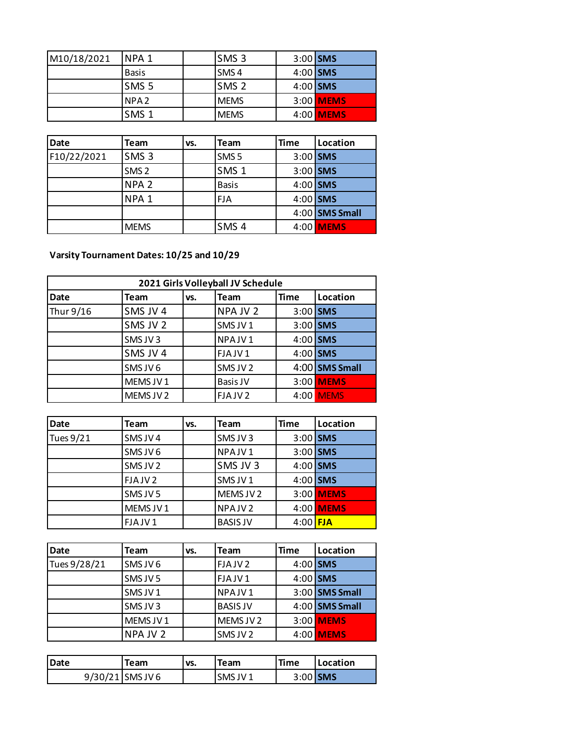| M10/18/2021 | INPA 1           | SMS <sub>3</sub> | $3:00$ SMS |                  |
|-------------|------------------|------------------|------------|------------------|
|             | <b>Basis</b>     | <b>SMS4</b>      | $4:00$ SMS |                  |
|             | SMS <sub>5</sub> | <b>ISMS 2</b>    | $4:00$ SMS |                  |
|             | NPA <sub>2</sub> | <b>MEMS</b>      |            | 3:00 <b>MEMS</b> |
|             | SMS <sub>1</sub> | <b>IMEMS</b>     |            | 4:00 MEMS        |

| Date        | Team             | VS. | <b>Team</b>      | <b>Time</b> | Location       |
|-------------|------------------|-----|------------------|-------------|----------------|
| F10/22/2021 | SMS <sub>3</sub> |     | SMS <sub>5</sub> | $3:00$ SMS  |                |
|             | SMS <sub>2</sub> |     | SMS <sub>1</sub> | 3:00 SMS    |                |
|             | NPA <sub>2</sub> |     | <b>Basis</b>     | $4:00$ SMS  |                |
|             | NPA <sub>1</sub> |     | <b>FJA</b>       | $4:00$ SMS  |                |
|             |                  |     |                  |             | 4:00 SMS Small |
|             | <b>MEMS</b>      |     | SMS <sub>4</sub> |             | 4:00 MEMS      |

**Varsity Tournament Dates: 10/25 and 10/29**

| 2021 Girls Volleyball JV Schedule |           |     |                    |             |                |  |  |  |
|-----------------------------------|-----------|-----|--------------------|-------------|----------------|--|--|--|
| <b>Date</b>                       | Team      | VS. | Team               | <b>Time</b> | Location       |  |  |  |
| Thur 9/16                         | SMS JV 4  |     | NPA JV 2           | $3:00$ SMS  |                |  |  |  |
|                                   | SMS JV 2  |     | SMS JV1            | $3:00$ SMS  |                |  |  |  |
|                                   | SMS JV3   |     | NPAJV1             | $4:00$ SMS  |                |  |  |  |
|                                   | SMS JV 4  |     | FJAJV1             | $4:00$ SMS  |                |  |  |  |
|                                   | SMS JV6   |     | SMS JV 2           |             | 4:00 SMS Small |  |  |  |
|                                   | MEMS JV1  |     | Basis JV           |             | 3:00 MEMS      |  |  |  |
|                                   | MEMS JV 2 |     | FJAJV <sub>2</sub> |             | 4:00 MEMS      |  |  |  |

| <b>Date</b> | Team               | VS. | Team               | <b>Time</b> | Location  |
|-------------|--------------------|-----|--------------------|-------------|-----------|
| Tues 9/21   | SMS JV4            |     | SMS JV3            | $3:00$ SMS  |           |
|             | SMS JV 6           |     | NPAJV1             | $3:00$ SMS  |           |
|             | SMS JV 2           |     | SMS JV 3           | $4:00$ SMS  |           |
|             | FJAJV <sub>2</sub> |     | SMS JV1            | $4:00$ SMS  |           |
|             | SMS JV 5           |     | MEMS JV 2          |             | 3:00 MEMS |
|             | MEMS JV1           |     | NPAJV <sub>2</sub> |             | 4:00 MEMS |
|             | FJAJV1             |     | <b>BASIS JV</b>    | $4:00$ FJA  |           |

| Date         | Team     | VS. | <b>Team</b>        | Time | Location         |
|--------------|----------|-----|--------------------|------|------------------|
| Tues 9/28/21 | SMS JV 6 |     | FJAJV <sub>2</sub> |      | $4:00$ SMS       |
|              | SMS JV 5 |     | FJAJV1             |      | 4:00 SMS         |
|              | SMS JV1  |     | NPAJV1             |      | $3:00$ SMS Small |
|              | SMS JV3  |     | <b>BASIS JV</b>    |      | $4:00$ SMS Small |
|              | MEMS JV1 |     | MEMS JV 2          |      | 3:00 MEMS        |
|              | NPA JV 2 |     | SMS JV 2           |      | 4:00 MEMS        |

| <b>Date</b> | Team               | VS. | <b>Team</b> | <b>Time</b> | <b>ILocation</b> |
|-------------|--------------------|-----|-------------|-------------|------------------|
|             | $9/30/21$ SMS JV 6 |     | SMS JV1     | $3:00$ SMS  |                  |